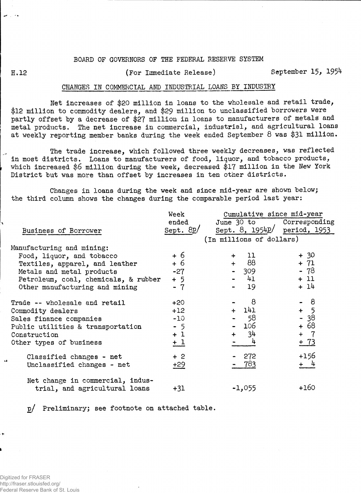### BOARD OF GOVERNORS OF THE FEDERAL RESERVE SYSTEM

# H.12 **(For Immediate Release)** September 15, 1954

## CHANGES IN COMMERCIAL AND INDUSTRIAL LOANS BY INDUSTRY

Net increases of \$20 million in loans to the wholesale and retail trade, \$12 million to commodity dealers, and \$29 million to unclassified borrowers were partly offset by a decrease of \$27 million in loans to manufacturers of metals and metal products. The net increase in commercial, industrial, and agricultural loans at weekly reporting member banks during the week ended September 8 was \$31 million.

The trade increase, which followed three weekly decreases, was reflected in most districts. Loans to manufacturers of food, liquor, and tobacco products, which increased \$6 million during the week, decreased \$17 million in the New York District but was more than offset by increases in ten other districts.

Changes in loans during the week and since mid-year are shown below; the third column shows the changes during the comparable period last year:

|                                      | Week      | Cumulative since mid-year              |        |  |  |  |  |
|--------------------------------------|-----------|----------------------------------------|--------|--|--|--|--|
|                                      | ended     | June 30 to Corresponding               |        |  |  |  |  |
| Business of Borrower                 | Sept. 8D/ | Sept. $8$ , $1954p/$ period, $1953$    |        |  |  |  |  |
|                                      |           | (In millions of dollars)               |        |  |  |  |  |
| Manufacturing and mining:            |           |                                        |        |  |  |  |  |
| Food, liquor, and tobacco            | + 6       | 11<br>$+$                              | $+30$  |  |  |  |  |
| Textiles, apparel, and leather       | + 6       | 88<br>$+$ $-$                          | $+ 71$ |  |  |  |  |
| Metals and metal products            | $-27$     | 309<br>$\frac{1}{2}$ and $\frac{1}{2}$ | - 78   |  |  |  |  |
| Petroleum, coal, chemicals, & rubber | $+5$      | $-41$                                  | $+11$  |  |  |  |  |
| Other manufacturing and mining       | $-7$      | 19                                     | $+14$  |  |  |  |  |
| Trade -- wholesale and retail        | $+20$     | 8                                      | - 8    |  |  |  |  |
| Commodity dealers                    | $+12$     | $+$ 141                                | $+ 5$  |  |  |  |  |
| Sales finance companies              | $-10$     | - 58                                   | $-38$  |  |  |  |  |
| Public utilities & transportation    | $-5$      | - 106                                  | + 68   |  |  |  |  |
| Construction                         | $+1$      | 34<br>$+$ $-$                          | $+ 7$  |  |  |  |  |
| Other types of business              | $+1$      | 4                                      | $+ 73$ |  |  |  |  |
| Classified changes - net             | $+2$      | 272                                    | $+156$ |  |  |  |  |
| Unclassified changes - net           | $\pm 29$  | - 783                                  | $+$ 4  |  |  |  |  |
| Net change in commercial, indus-     |           |                                        |        |  |  |  |  |
| trial, and agricultural loans        | $+31$     | $-1,055$                               | $+160$ |  |  |  |  |

p/ Preliminary; see footnote on attached table.